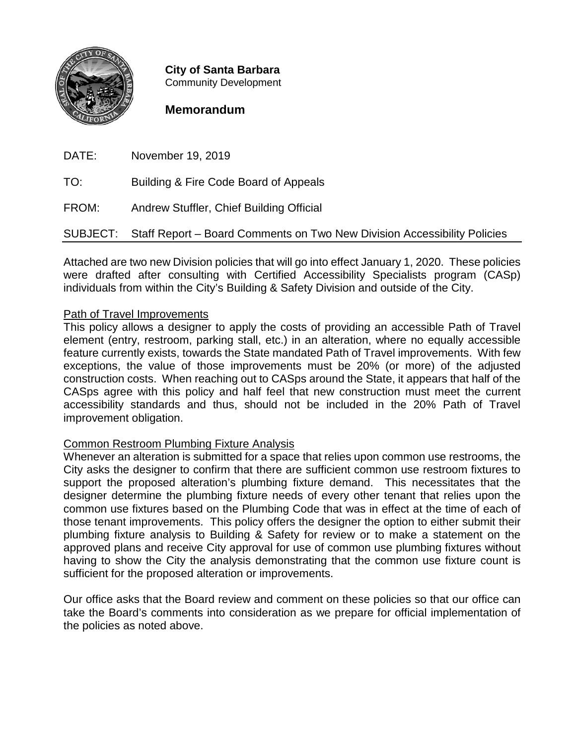

**City of Santa Barbara** Community Development

## **Memorandum**

DATE: November 19, 2019

TO: Building & Fire Code Board of Appeals

FROM: Andrew Stuffler, Chief Building Official

SUBJECT: Staff Report – Board Comments on Two New Division Accessibility Policies

Attached are two new Division policies that will go into effect January 1, 2020. These policies were drafted after consulting with Certified Accessibility Specialists program (CASp) individuals from within the City's Building & Safety Division and outside of the City.

## Path of Travel Improvements

This policy allows a designer to apply the costs of providing an accessible Path of Travel element (entry, restroom, parking stall, etc.) in an alteration, where no equally accessible feature currently exists, towards the State mandated Path of Travel improvements. With few exceptions, the value of those improvements must be 20% (or more) of the adjusted construction costs. When reaching out to CASps around the State, it appears that half of the CASps agree with this policy and half feel that new construction must meet the current accessibility standards and thus, should not be included in the 20% Path of Travel improvement obligation.

## Common Restroom Plumbing Fixture Analysis

Whenever an alteration is submitted for a space that relies upon common use restrooms, the City asks the designer to confirm that there are sufficient common use restroom fixtures to support the proposed alteration's plumbing fixture demand. This necessitates that the designer determine the plumbing fixture needs of every other tenant that relies upon the common use fixtures based on the Plumbing Code that was in effect at the time of each of those tenant improvements. This policy offers the designer the option to either submit their plumbing fixture analysis to Building & Safety for review or to make a statement on the approved plans and receive City approval for use of common use plumbing fixtures without having to show the City the analysis demonstrating that the common use fixture count is sufficient for the proposed alteration or improvements.

Our office asks that the Board review and comment on these policies so that our office can take the Board's comments into consideration as we prepare for official implementation of the policies as noted above.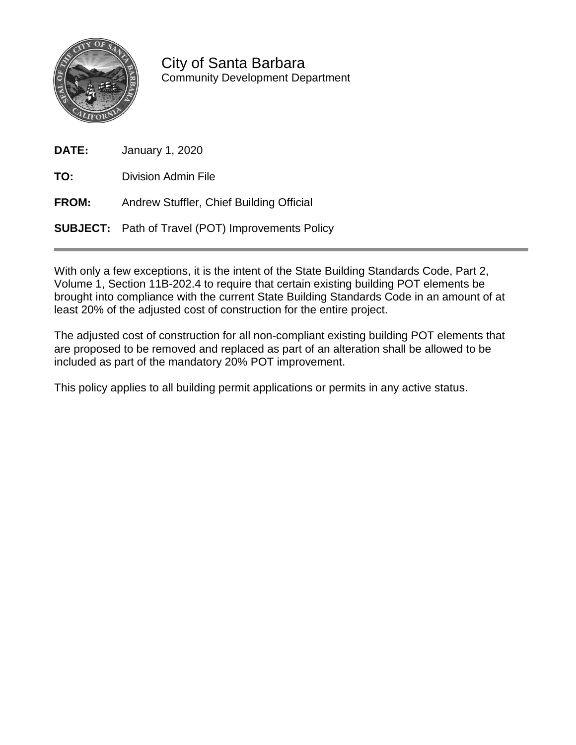

City of Santa Barbara Community Development Department

| <b>DATE:</b> | <b>January 1, 2020</b> |  |
|--------------|------------------------|--|
|--------------|------------------------|--|

**TO:** Division Admin File

**FROM:** Andrew Stuffler, Chief Building Official

**SUBJECT:** Path of Travel (POT) Improvements Policy

With only a few exceptions, it is the intent of the State Building Standards Code, Part 2, Volume 1, Section 11B-202.4 to require that certain existing building POT elements be brought into compliance with the current State Building Standards Code in an amount of at least 20% of the adjusted cost of construction for the entire project.

The adjusted cost of construction for all non-compliant existing building POT elements that are proposed to be removed and replaced as part of an alteration shall be allowed to be included as part of the mandatory 20% POT improvement.

This policy applies to all building permit applications or permits in any active status.